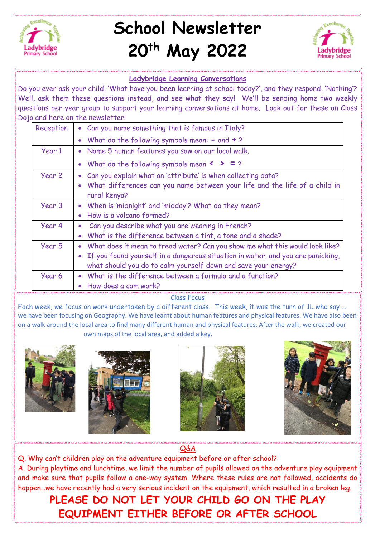

# **School Newsletter 20th May 2022**



# **Ladybridge Learning Conversations**

Do you ever ask your child, 'What have you been learning at school today?', and they respond, 'Nothing'? Well, ask them these questions instead, and see what they say! We'll be sending home two weekly questions per year group to support your learning conversations at home. Look out for these on Class Dojo and here on the newsletter!

| Reception | • Can you name something that is famous in Italy?                                            |
|-----------|----------------------------------------------------------------------------------------------|
|           | What do the following symbols mean: $-$ and $+$ ?<br>$\bullet$                               |
| Year 1    | • Name 5 human features you saw on our local walk.                                           |
|           | What do the following symbols mean $\langle \rangle$ = ?<br>$\bullet$                        |
| Year 2    | Can you explain what an 'attribute' is when collecting data?<br>$\bullet$                    |
|           | What differences can you name between your life and the life of a child in<br>rural Kenya?   |
| Year 3    | When is 'midnight' and 'midday'? What do they mean?<br>$\bullet$                             |
|           | How is a volcano formed?<br>$\bullet$                                                        |
| Year 4    | Can you describe what you are wearing in French?                                             |
|           | What is the difference between a tint, a tone and a shade?<br>$\bullet$                      |
| Year 5    | What does it mean to tread water? Can you show me what this would look like?<br>$\bullet$    |
|           | If you found yourself in a dangerous situation in water, and you are panicking,<br>$\bullet$ |
|           | what should you do to calm yourself down and save your energy?                               |
| Year 6    | What is the difference between a formula and a function?                                     |
|           | How does a cam work?                                                                         |

#### Class Focus

Each week, we focus on work undertaken by a different class. This week, it was the turn of 1L who say … we have been focusing on Geography. We have learnt about human features and physical features. We have also been on a walk around the local area to find many different human and physical features. After the walk, we created our own maps of the local area, and added a key.









Q&A

Q. Why can't children play on the adventure equipment before or after school? A. During playtime and lunchtime, we limit the number of pupils allowed on the adventure play equipment and make sure that pupils follow a one-way system. Where these rules are not followed, accidents do happen…we have recently had a very serious incident on the equipment, which resulted in a broken leg.

**PLEASE DO NOT LET YOUR CHILD GO ON THE PLAY EQUIPMENT EITHER BEFORE OR AFTER SCHOOL**